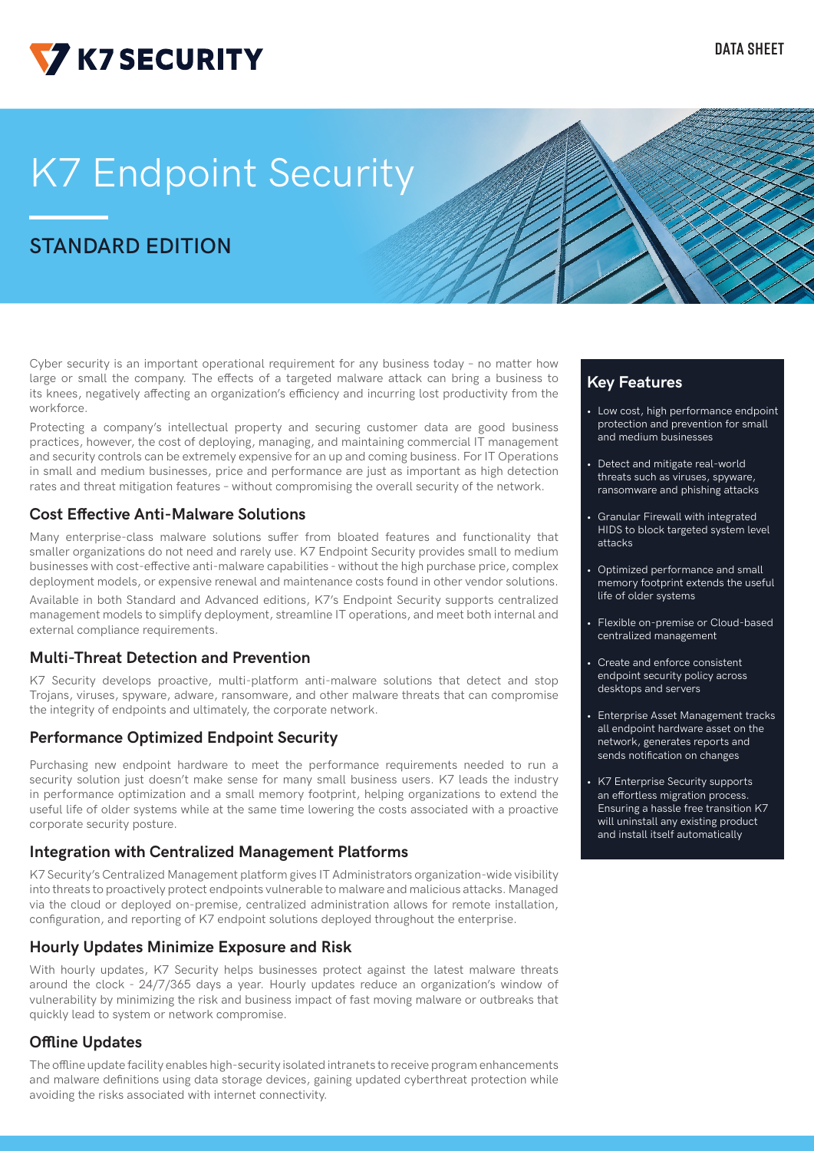

# K7 Endpoint Security

## **STANDARD EDITION**

Cyber security is an important operational requirement for any business today – no matter how large or small the company. The effects of a targeted malware attack can bring a business to its knees, negatively affecting an organization's efficiency and incurring lost productivity from the workforce.

Protecting a company's intellectual property and securing customer data are good business practices, however, the cost of deploying, managing, and maintaining commercial IT management and security controls can be extremely expensive for an up and coming business. For IT Operations in small and medium businesses, price and performance are just as important as high detection rates and threat mitigation features – without compromising the overall security of the network.

### **Cost Effective Anti-Malware Solutions**

Many enterprise-class malware solutions suffer from bloated features and functionality that smaller organizations do not need and rarely use. K7 Endpoint Security provides small to medium businesses with cost-effective anti-malware capabilities - without the high purchase price, complex deployment models, or expensive renewal and maintenance costs found in other vendor solutions.

Available in both Standard and Advanced editions, K7's Endpoint Security supports centralized management models to simplify deployment, streamline IT operations, and meet both internal and external compliance requirements.

#### **Multi-Threat Detection and Prevention**

K7 Security develops proactive, multi-platform anti-malware solutions that detect and stop Trojans, viruses, spyware, adware, ransomware, and other malware threats that can compromise the integrity of endpoints and ultimately, the corporate network.

#### **Performance Optimized Endpoint Security**

Purchasing new endpoint hardware to meet the performance requirements needed to run a security solution just doesn't make sense for many small business users. K7 leads the industry in performance optimization and a small memory footprint, helping organizations to extend the useful life of older systems while at the same time lowering the costs associated with a proactive corporate security posture.

## **Integration with Centralized Management Platforms**

K7 Security's Centralized Management platform gives IT Administrators organization-wide visibility into threats to proactively protect endpoints vulnerable to malware and malicious attacks. Managed via the cloud or deployed on-premise, centralized administration allows for remote installation, configuration, and reporting of K7 endpoint solutions deployed throughout the enterprise.

## **Hourly Updates Minimize Exposure and Risk**

With hourly updates, K7 Security helps businesses protect against the latest malware threats around the clock - 24/7/365 days a year. Hourly updates reduce an organization's window of vulnerability by minimizing the risk and business impact of fast moving malware or outbreaks that quickly lead to system or network compromise.

## **Offline Updates**

The offline update facility enables high-security isolated intranets to receive program enhancements and malware definitions using data storage devices, gaining updated cyberthreat protection while avoiding the risks associated with internet connectivity.

## **Key Features**

- Low cost, high performance endpoint protection and prevention for small and medium businesses
- Detect and mitigate real-world threats such as viruses, spyware, ransomware and phishing attacks
- Granular Firewall with integrated HIDS to block targeted system level attacks
- Optimized performance and small memory footprint extends the useful life of older systems
- Flexible on-premise or Cloud-based centralized management
- Create and enforce consistent endpoint security policy across desktops and servers
- Enterprise Asset Management tracks all endpoint hardware asset on the network, generates reports and sends notification on changes
- K7 Enterprise Security supports an effortless migration process. Ensuring a hassle free transition K7 will uninstall any existing product and install itself automatically